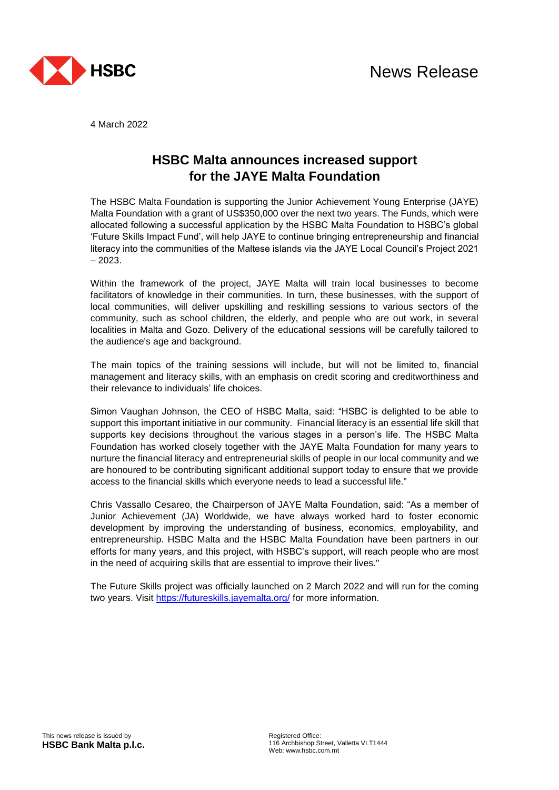

4 March 2022

## **HSBC Malta announces increased support for the JAYE Malta Foundation**

The HSBC Malta Foundation is supporting the Junior Achievement Young Enterprise (JAYE) Malta Foundation with a grant of US\$350,000 over the next two years. The Funds, which were allocated following a successful application by the HSBC Malta Foundation to HSBC's global 'Future Skills Impact Fund', will help JAYE to continue bringing entrepreneurship and financial literacy into the communities of the Maltese islands via the JAYE Local Council's Project 2021 – 2023.

Within the framework of the project, JAYE Malta will train local businesses to become facilitators of knowledge in their communities. In turn, these businesses, with the support of local communities, will deliver upskilling and reskilling sessions to various sectors of the community, such as school children, the elderly, and people who are out work, in several localities in Malta and Gozo. Delivery of the educational sessions will be carefully tailored to the audience's age and background.

The main topics of the training sessions will include, but will not be limited to, financial management and literacy skills, with an emphasis on credit scoring and creditworthiness and their relevance to individuals' life choices.

Simon Vaughan Johnson, the CEO of HSBC Malta, said: "HSBC is delighted to be able to support this important initiative in our community. Financial literacy is an essential life skill that supports key decisions throughout the various stages in a person's life. The HSBC Malta Foundation has worked closely together with the JAYE Malta Foundation for many years to nurture the financial literacy and entrepreneurial skills of people in our local community and we are honoured to be contributing significant additional support today to ensure that we provide access to the financial skills which everyone needs to lead a successful life."

Chris Vassallo Cesareo, the Chairperson of JAYE Malta Foundation, said: "As a member of Junior Achievement (JA) Worldwide, we have always worked hard to foster economic development by improving the understanding of business, economics, employability, and entrepreneurship. HSBC Malta and the HSBC Malta Foundation have been partners in our efforts for many years, and this project, with HSBC's support, will reach people who are most in the need of acquiring skills that are essential to improve their lives."

The Future Skills project was officially launched on 2 March 2022 and will run for the coming two years. Visit<https://futureskills.jayemalta.org/> for more information.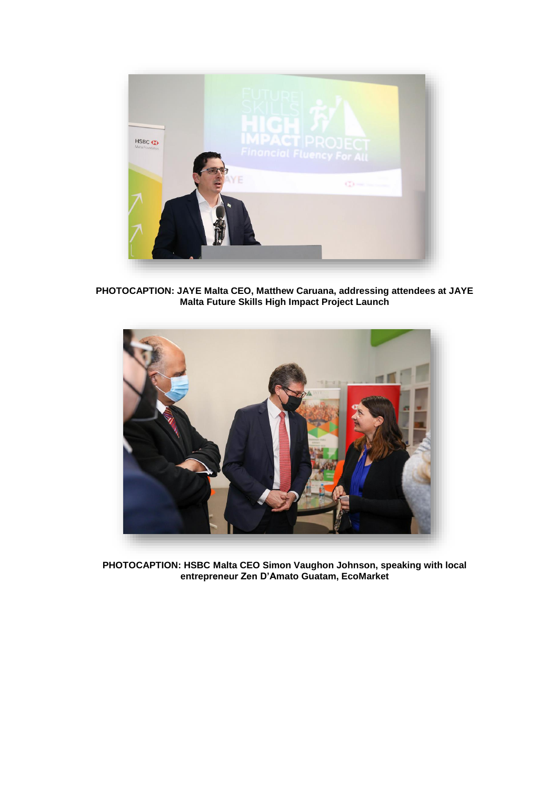

**PHOTOCAPTION: JAYE Malta CEO, Matthew Caruana, addressing attendees at JAYE Malta Future Skills High Impact Project Launch**



**PHOTOCAPTION: HSBC Malta CEO Simon Vaughon Johnson, speaking with local entrepreneur Zen D'Amato Guatam, EcoMarket**